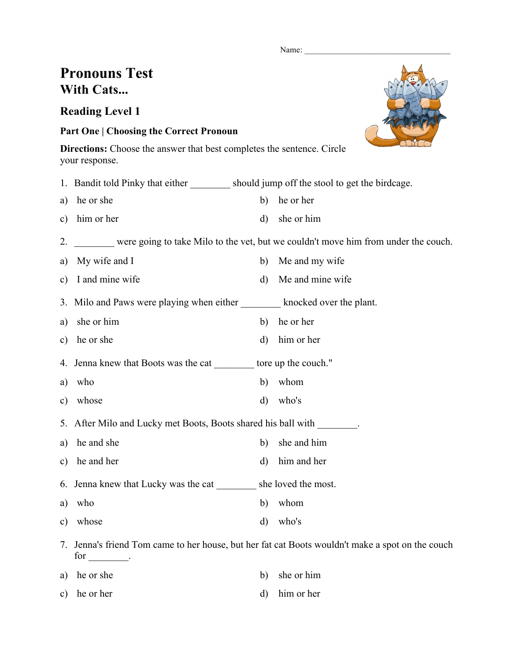Name:

# **Pronouns Test With Cats...**

## **Reading Level 1**

### **Part One | Choosing the Correct Pronoun**

**Directions:** Choose the answer that best completes the sentence. Circle your response.

c) he or her d) him or her

|               | 1. Bandit told Pinky that either should jump off the stool to get the birdcage. |              |                                                                                                  |
|---------------|---------------------------------------------------------------------------------|--------------|--------------------------------------------------------------------------------------------------|
| a)            | he or she                                                                       | b)           | he or her                                                                                        |
| $\mathbf{c})$ | him or her                                                                      | $\mathbf{d}$ | she or him                                                                                       |
| 2.            |                                                                                 |              | were going to take Milo to the vet, but we couldn't move him from under the couch.               |
| a)            | My wife and I                                                                   | b)           | Me and my wife                                                                                   |
| $\mathbf{c})$ | I and mine wife                                                                 | $\rm d)$     | Me and mine wife                                                                                 |
|               | 3. Milo and Paws were playing when either knocked over the plant.               |              |                                                                                                  |
| a)            | she or him                                                                      | b)           | he or her                                                                                        |
| $\mathbf{c})$ | he or she                                                                       | $\rm d)$     | him or her                                                                                       |
|               | 4. Jenna knew that Boots was the cat _________ tore up the couch."              |              |                                                                                                  |
| a)            | who                                                                             | b)           | whom                                                                                             |
| $\mathbf{c})$ | whose                                                                           | $\mathbf{d}$ | who's                                                                                            |
|               | 5. After Milo and Lucky met Boots, Boots shared his ball with                   |              |                                                                                                  |
| a)            | he and she                                                                      | $\mathbf{b}$ | she and him                                                                                      |
| $\mathbf{c})$ | he and her                                                                      | $\mathbf{d}$ | him and her                                                                                      |
| 6.            | Jenna knew that Lucky was the cat _________ she loved the most.                 |              |                                                                                                  |
| a)            | who                                                                             | b)           | whom                                                                                             |
| $\mathbf{c})$ | whose                                                                           | $\mathbf{d}$ | who's                                                                                            |
|               | for _________.                                                                  |              | 7. Jenna's friend Tom came to her house, but her fat cat Boots wouldn't make a spot on the couch |
| a)            | he or she                                                                       | b)           | she or him                                                                                       |

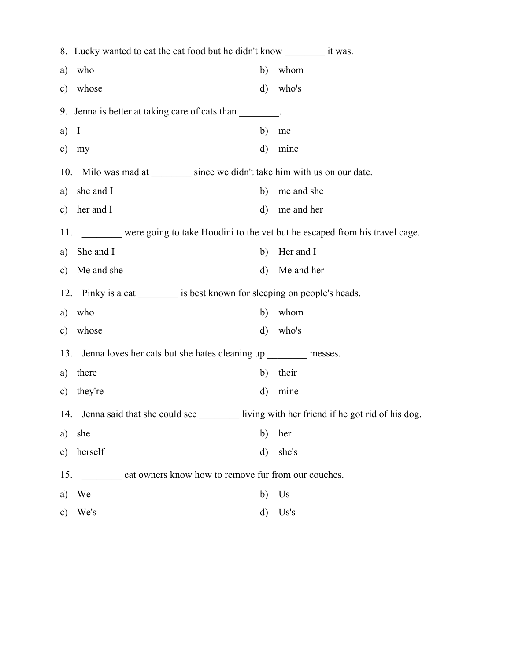|                                                                                        | 8. Lucky wanted to eat the cat food but he didn't know _____________ it was. |         |                                                  |  |  |  |
|----------------------------------------------------------------------------------------|------------------------------------------------------------------------------|---------|--------------------------------------------------|--|--|--|
| a)                                                                                     | who                                                                          | b)      | whom                                             |  |  |  |
| c)                                                                                     | whose                                                                        | d)      | who's                                            |  |  |  |
|                                                                                        | 9. Jenna is better at taking care of cats than                               |         |                                                  |  |  |  |
| $a)$ I                                                                                 |                                                                              | b)      | me                                               |  |  |  |
| c)                                                                                     | my                                                                           | $\rm d$ | mine                                             |  |  |  |
|                                                                                        | 10. Milo was mad at __________ since we didn't take him with us on our date. |         |                                                  |  |  |  |
|                                                                                        | a) she and I                                                                 | b)      | me and she                                       |  |  |  |
|                                                                                        | c) her and $I$                                                               | $\rm d$ | me and her                                       |  |  |  |
| 11. _______ were going to take Houdini to the vet but he escaped from his travel cage. |                                                                              |         |                                                  |  |  |  |
| a)                                                                                     | She and I                                                                    | b)      | Her and I                                        |  |  |  |
|                                                                                        | c) Me and she                                                                | $\rm d$ | Me and her                                       |  |  |  |
|                                                                                        | 12. Pinky is a cat __________ is best known for sleeping on people's heads.  |         |                                                  |  |  |  |
| a)                                                                                     | who                                                                          | b)      | whom                                             |  |  |  |
| c)                                                                                     | whose                                                                        | d)      | who's                                            |  |  |  |
| 13.<br>Jenna loves her cats but she hates cleaning up __________ messes.               |                                                                              |         |                                                  |  |  |  |
| a)                                                                                     | there                                                                        | b)      | their                                            |  |  |  |
| $\mathbf{c})$                                                                          | they're                                                                      | d)      | mine                                             |  |  |  |
|                                                                                        | 14. Jenna said that she could see                                            |         | living with her friend if he got rid of his dog. |  |  |  |
| a)                                                                                     | she                                                                          | b)      | her                                              |  |  |  |
| $\mathbf{c})$                                                                          | herself                                                                      | $\rm d$ | she's                                            |  |  |  |
|                                                                                        | 15.<br>cat owners know how to remove fur from our couches.                   |         |                                                  |  |  |  |
| a)                                                                                     | We                                                                           | b)      | Us                                               |  |  |  |
| c)                                                                                     | We's                                                                         | $\rm d$ | Us's                                             |  |  |  |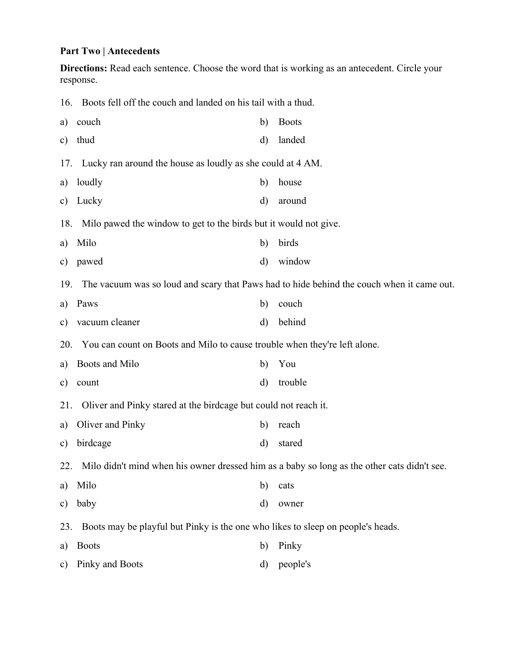#### **Part Two | Antecedents**

**Directions:** Read each sentence. Choose the word that is working as an antecedent. Circle your response.

| 16.           | Boots fell off the couch and landed on his tail with a thud.                                    |          |              |  |  |
|---------------|-------------------------------------------------------------------------------------------------|----------|--------------|--|--|
| a)            | couch                                                                                           | b)       | <b>Boots</b> |  |  |
| c)            | thud                                                                                            | $\rm d$  | landed       |  |  |
| 17.           | Lucky ran around the house as loudly as she could at 4 AM.                                      |          |              |  |  |
| a)            | loudly                                                                                          | b)       | house        |  |  |
| $\mathbf{c})$ | Lucky                                                                                           | d)       | around       |  |  |
| 18.           | Milo pawed the window to get to the birds but it would not give.                                |          |              |  |  |
| a)            | Milo                                                                                            | b)       | birds        |  |  |
| $\mathbf{c})$ | pawed                                                                                           | d)       | window       |  |  |
| 19.           | The vacuum was so loud and scary that Paws had to hide behind the couch when it came out.       |          |              |  |  |
| a)            | Paws                                                                                            | b)       | couch        |  |  |
| $\mathbf{c})$ | vacuum cleaner                                                                                  | d)       | behind       |  |  |
| 20.           | You can count on Boots and Milo to cause trouble when they're left alone.                       |          |              |  |  |
| a)            | Boots and Milo                                                                                  | b)       | You          |  |  |
| $\mathbf{c})$ | count                                                                                           | $\rm d)$ | trouble      |  |  |
| 21.           | Oliver and Pinky stared at the birdcage but could not reach it.                                 |          |              |  |  |
| a)            | Oliver and Pinky                                                                                | b)       | reach        |  |  |
| $\mathbf{c})$ | birdcage                                                                                        | $\rm d)$ | stared       |  |  |
|               | 22. Milo didn't mind when his owner dressed him as a baby so long as the other cats didn't see. |          |              |  |  |
| a)            | Milo                                                                                            | b)       | cats         |  |  |
| $\mathbf{c})$ | baby                                                                                            | d)       | owner        |  |  |
| 23.           | Boots may be playful but Pinky is the one who likes to sleep on people's heads.                 |          |              |  |  |
| a)            | <b>Boots</b>                                                                                    | b)       | Pinky        |  |  |
| c)            | Pinky and Boots                                                                                 | d)       | people's     |  |  |